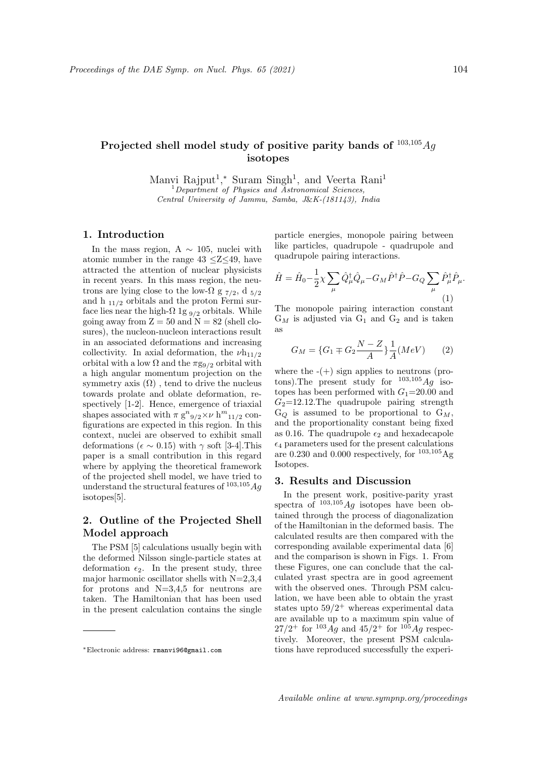# Projected shell model study of positive parity bands of  $^{103,105}Aq$ isotopes

Manvi Rajput<sup>1</sup>,\* Suram Singh<sup>1</sup>, and Veerta Rani<sup>1</sup>  $1$ Department of Physics and Astronomical Sciences, Central University of Jammu, Samba, J&K-(181143), India

## 1. Introduction

In the mass region, A  $\sim$  105, nuclei with atomic number in the range  $43 \leq Z \leq 49$ , have attracted the attention of nuclear physicists in recent years. In this mass region, the neutrons are lying close to the low- $\Omega$  g  $_{7/2}$ , d  $_{5/2}$ and h  $_{11/2}$  orbitals and the proton Fermi surface lies near the high- $\Omega$  1g  $_{9/2}$  orbitals. While going away from  $Z = 50$  and  $N = 82$  (shell closures), the nucleon-nucleon interactions result in an associated deformations and increasing collectivity. In axial deformation, the  $\nu h_{11/2}$ orbital with a low  $\Omega$  and the  $\pi g_{9/2}$  orbital with a high angular momentum projection on the symmetry axis  $(\Omega)$ , tend to drive the nucleus towards prolate and oblate deformation, respectively [1-2]. Hence, emergence of triaxial shapes associated with  $\pi g^{n}g_{/2} \times \nu h^{m}{}_{11/2}$  configurations are expected in this region. In this context, nuclei are observed to exhibit small deformations ( $\epsilon \sim 0.15$ ) with  $\gamma$  soft [3-4]. This paper is a small contribution in this regard where by applying the theoretical framework of the projected shell model, we have tried to understand the structural features of  $103,105$  Ag isotopes[5].

## 2. Outline of the Projected Shell Model approach

The PSM [5] calculations usually begin with the deformed Nilsson single-particle states at deformation  $\epsilon_2$ . In the present study, three major harmonic oscillator shells with  $N=2,3,4$ for protons and  $N=3,4,5$  for neutrons are taken. The Hamiltonian that has been used in the present calculation contains the single particle energies, monopole pairing between like particles, quadrupole - quadrupole and quadrupole pairing interactions.

$$
\hat{H} = \hat{H}_0 - \frac{1}{2}\chi \sum_{\mu} \hat{Q}^{\dagger}_{\mu} \hat{Q}_{\mu} - G_M \hat{P}^{\dagger} \hat{P} - G_Q \sum_{\mu} \hat{P}^{\dagger}_{\mu} \hat{P}_{\mu}.
$$
\n(1)

The monopole pairing interaction constant  $G_M$  is adjusted via  $G_1$  and  $G_2$  and is taken as

$$
G_M = \{G_1 \mp G_2 \frac{N - Z}{A}\} \frac{1}{A} (MeV) \tag{2}
$$

where the  $-(+)$  sign applies to neutrons (protons). The present study for  $^{103,105}Ag$  isotopes has been performed with  $G_1$ =20.00 and  $G_2$ =12.12.The quadrupole pairing strength  $G_Q$  is assumed to be proportional to  $G_M$ , and the proportionality constant being fixed as 0.16. The quadrupole  $\epsilon_2$  and hexadecapole  $\epsilon_4$  parameters used for the present calculations are 0.230 and 0.000 respectively, for  $^{103,105}$ Ag Isotopes.

### 3. Results and Discussion

In the present work, positive-parity yrast spectra of  $103,105$  *Ag* isotopes have been obtained through the process of diagonalization of the Hamiltonian in the deformed basis. The calculated results are then compared with the corresponding available experimental data [6] and the comparison is shown in Figs. 1. From these Figures, one can conclude that the calculated yrast spectra are in good agreement with the observed ones. Through PSM calculation, we have been able to obtain the yrast states upto  $59/2^+$  whereas experimental data are available up to a maximum spin value of  $27/2^+$  for  $10^3$  Ag and  $45/2^+$  for  $10^5$  Ag respectively. Moreover, the present PSM calculations have reproduced successfully the experi-

<sup>∗</sup>Electronic address: rmanvi96@gmail.com